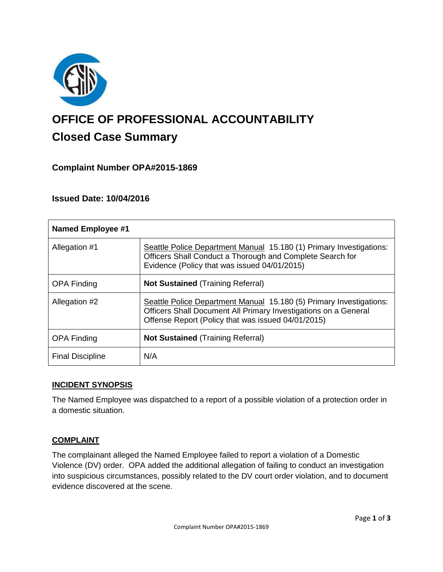

# **OFFICE OF PROFESSIONAL ACCOUNTABILITY Closed Case Summary**

## **Complaint Number OPA#2015-1869**

## **Issued Date: 10/04/2016**

| <b>Named Employee #1</b> |                                                                                                                                                                                              |
|--------------------------|----------------------------------------------------------------------------------------------------------------------------------------------------------------------------------------------|
| Allegation #1            | Seattle Police Department Manual 15.180 (1) Primary Investigations:<br>Officers Shall Conduct a Thorough and Complete Search for<br>Evidence (Policy that was issued 04/01/2015)             |
| <b>OPA Finding</b>       | <b>Not Sustained (Training Referral)</b>                                                                                                                                                     |
| Allegation #2            | Seattle Police Department Manual 15.180 (5) Primary Investigations:<br>Officers Shall Document All Primary Investigations on a General<br>Offense Report (Policy that was issued 04/01/2015) |
| <b>OPA Finding</b>       | <b>Not Sustained (Training Referral)</b>                                                                                                                                                     |
| <b>Final Discipline</b>  | N/A                                                                                                                                                                                          |

## **INCIDENT SYNOPSIS**

The Named Employee was dispatched to a report of a possible violation of a protection order in a domestic situation.

#### **COMPLAINT**

The complainant alleged the Named Employee failed to report a violation of a Domestic Violence (DV) order. OPA added the additional allegation of failing to conduct an investigation into suspicious circumstances, possibly related to the DV court order violation, and to document evidence discovered at the scene.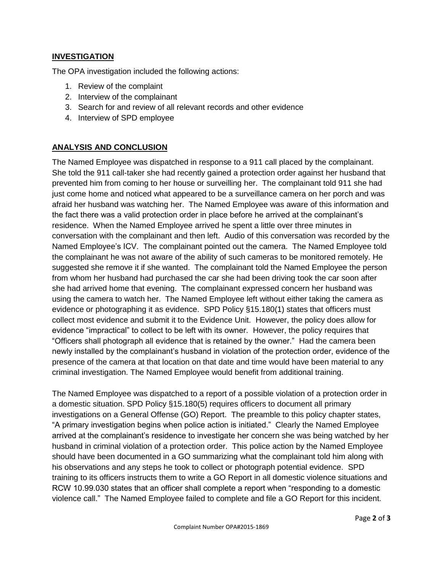### **INVESTIGATION**

The OPA investigation included the following actions:

- 1. Review of the complaint
- 2. Interview of the complainant
- 3. Search for and review of all relevant records and other evidence
- 4. Interview of SPD employee

## **ANALYSIS AND CONCLUSION**

The Named Employee was dispatched in response to a 911 call placed by the complainant. She told the 911 call-taker she had recently gained a protection order against her husband that prevented him from coming to her house or surveilling her. The complainant told 911 she had just come home and noticed what appeared to be a surveillance camera on her porch and was afraid her husband was watching her. The Named Employee was aware of this information and the fact there was a valid protection order in place before he arrived at the complainant's residence. When the Named Employee arrived he spent a little over three minutes in conversation with the complainant and then left. Audio of this conversation was recorded by the Named Employee's ICV. The complainant pointed out the camera. The Named Employee told the complainant he was not aware of the ability of such cameras to be monitored remotely. He suggested she remove it if she wanted. The complainant told the Named Employee the person from whom her husband had purchased the car she had been driving took the car soon after she had arrived home that evening. The complainant expressed concern her husband was using the camera to watch her. The Named Employee left without either taking the camera as evidence or photographing it as evidence. SPD Policy §15.180(1) states that officers must collect most evidence and submit it to the Evidence Unit. However, the policy does allow for evidence "impractical" to collect to be left with its owner. However, the policy requires that "Officers shall photograph all evidence that is retained by the owner." Had the camera been newly installed by the complainant's husband in violation of the protection order, evidence of the presence of the camera at that location on that date and time would have been material to any criminal investigation. The Named Employee would benefit from additional training.

The Named Employee was dispatched to a report of a possible violation of a protection order in a domestic situation. SPD Policy §15.180(5) requires officers to document all primary investigations on a General Offense (GO) Report. The preamble to this policy chapter states, "A primary investigation begins when police action is initiated." Clearly the Named Employee arrived at the complainant's residence to investigate her concern she was being watched by her husband in criminal violation of a protection order. This police action by the Named Employee should have been documented in a GO summarizing what the complainant told him along with his observations and any steps he took to collect or photograph potential evidence. SPD training to its officers instructs them to write a GO Report in all domestic violence situations and RCW 10.99.030 states that an officer shall complete a report when "responding to a domestic violence call." The Named Employee failed to complete and file a GO Report for this incident.